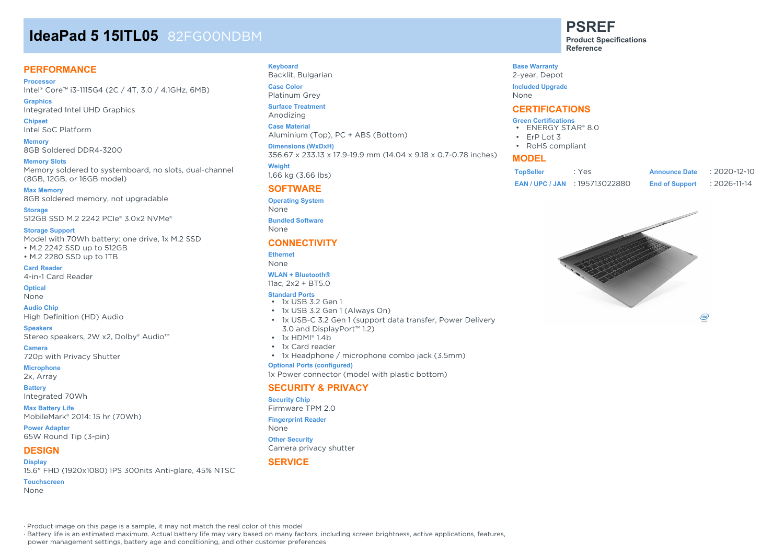# **IdeaPad 5 15ITL05** 82FG00NDBM

#### **PERFORMANCE**

**Processor** Intel® Core™ i3-1115G4 (2C / 4T, 3.0 / 4.1GHz, 6MB)

**Graphics** Integrated Intel UHD Graphics

**Chipset** Intel SoC Platform

**Memory** 8GB Soldered DDR4-3200

**Memory Slots** Memory soldered to systemboard, no slots, dual-channel (8GB, 12GB, or 16GB model)

**Max Memory** 8GB soldered memory, not upgradable

**Storage** 512GB SSD M.2 2242 PCIe® 3.0x2 NVMe®

#### **Storage Support**

Model with 70Wh battery: one drive, 1x M.2 SSD • M.2 2242 SSD up to 512GB • M.2 2280 SSD up to 1TB

**Card Reader** 4-in-1 Card Reader

**Optical**

None

**Audio Chip** High Definition (HD) Audio

**Speakers** Stereo speakers, 2W x2, Dolby® Audio™

**Camera** 720p with Privacy Shutter

**Microphone** 2x, Array

#### **Battery**

Integrated 70Wh

**Max Battery Life** MobileMark® 2014: 15 hr (70Wh)

**Power Adapter** 65W Round Tip (3-pin)

#### **DESIGN**

**Display** 15.6" FHD (1920x1080) IPS 300nits Anti-glare, 45% NTSC

**Touchscreen**

None

#### **Keyboard**

Backlit, Bulgarian **Case Color** Platinum Grey

**Surface Treatment**

Anodizing

**Case Material**

Aluminium (Top), PC + ABS (Bottom)

**Dimensions (WxDxH)**

356.67 x 233.13 x 17.9-19.9 mm (14.04 x 9.18 x 0.7-0.78 inches)

**Weight** 1.66 kg (3.66 lbs)

#### **SOFTWARE**

**Operating System**

None

**Bundled Software** None

#### **CONNECTIVITY**

#### **Ethernet** None

**WLAN + Bluetooth®**

11ac, 2x2 + BT5.0

#### **Standard Ports**

- 1x USB 3.2 Gen 1
- 1x USB 3.2 Gen 1 (Always On)
- 1x USB-C 3.2 Gen 1 (support data transfer, Power Delivery 3.0 and DisplayPort™ 1.2)
- 1x HDMI® 1.4b
- 1x Card reader
- 1x Headphone / microphone combo jack (3.5mm)

#### **Optional Ports (configured)**

1x Power connector (model with plastic bottom)

#### **SECURITY & PRIVACY**

#### **Security Chip**

Firmware TPM 2.0

#### **Fingerprint Reader**

None

**Other Security** Camera privacy shutter

#### **SERVICE**

**PSREF Product Specifications**

**Reference**

**Base Warranty** 2-year, Depot

**Included Upgrade**

None

#### **CERTIFICATIONS**

#### **Green Certifications**

- ENERGY STAR® 8.0
- ErP Lot 3 • RoHS compliant

#### **MODEL**

| <b>TopSeller</b> | : Yes                            | <b>Announce Date</b>  | $: 2020 - 12 - 10$ |
|------------------|----------------------------------|-----------------------|--------------------|
|                  | <b>EAN/UPC/JAN: 195713022880</b> | <b>End of Support</b> | : 2026-11-14       |



(intel)

· Product image on this page is a sample, it may not match the real color of this model

· Battery life is an estimated maximum. Actual battery life may vary based on many factors, including screen brightness, active applications, features,

power management settings, battery age and conditioning, and other customer preferences